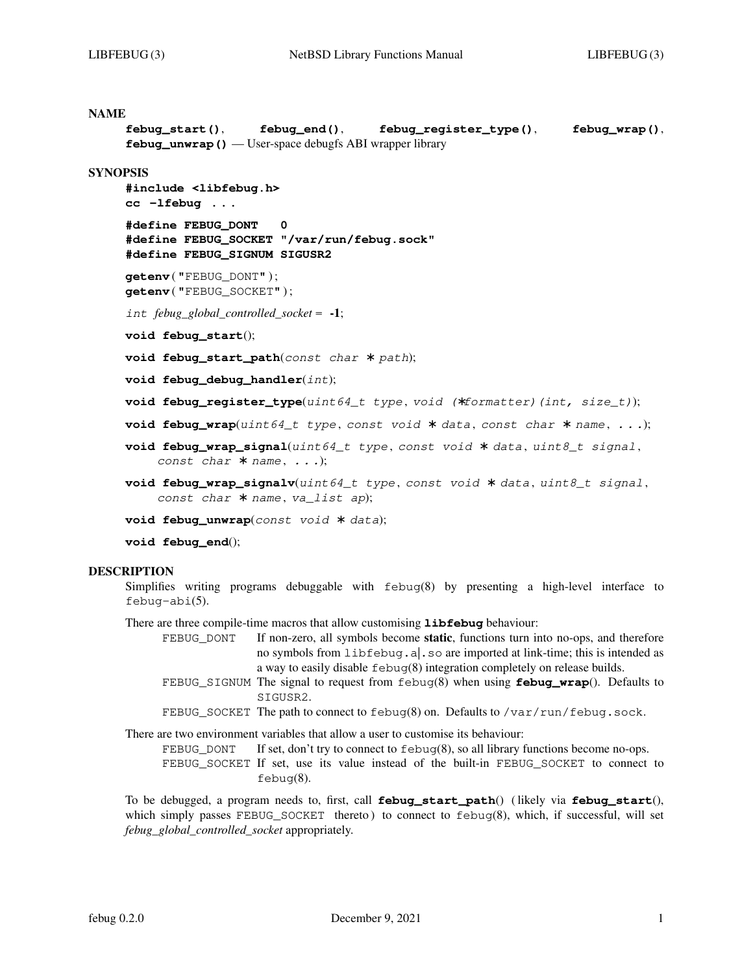```
NAME
     febug_start(), febug_end(), febug_register_type(), febug_wrap(),
     febug_unwrap() — User-space debugfs ABI wrapper library
SYNOPSIS
     #include <libfebug.h>
     cc −lfebug ...
     #define FEBUG_DONT 0
     #define FEBUG_SOCKET "/var/run/febug.sock"
     #define FEBUG_SIGNUM SIGUSR2
     getenv ( "FEBUG_DONT" ) ;
     getenv ( "FEBUG_SOCKET" ) ;
     int febug_global_controlled_socket = -1;
     void febug_start();
     void febug_start_path(const char ∗ path);
     void febug_debug_handler(int);
     void febug_register_type(uint64_t type , void (∗formatter)(int, size_t));
     void febug_wrap(uint64_t type , const void ∗ data , const char ∗ name , ...);
     void febug_wrap_signal(uint64_t type , const void ∗ data , uint8_t signal ,
          const char ∗ name , ...);
     void febug_wrap_signalv(uint64_t type , const void ∗ data , uint8_t signal ,
         const char ∗ name , va_list ap);
     void febug_unwrap(const void ∗ data);
```

```
void febug_end();
```
#### **DESCRIPTION**

Simplifies writing programs debuggable with febug(8) by presenting a high-level interface to febug-abi(5).

There are three compile-time macros that allow customising **libfebug** behaviour:

- FEBUG\_DONT If non-zero, all symbols become **static**, functions turn into no-ops, and therefore no symbols from libfebug.a|.so are imported at link-time; this is intended as a way to easily disable febug(8) integration completely on release builds.
- FEBUG\_SIGNUM The signal to request from febug(8) when using **febug\_wrap**(). Defaults to SIGUSR2.

```
FEBUG_SOCKET The path to connect to febuq(8) on. Defaults to /var/run/febug.sock.
```
There are two environment variables that allow a user to customise its behaviour:

FEBUG\_DONT If set, don't try to connect to  $febu(g(8))$ , so all library functions become no-ops. FEBUG\_SOCKET If set, use its value instead of the built-in FEBUG\_SOCKET to connect to febug(8).

To be debugged, a program needs to, first, call **febug\_start\_path**() ( likely via **febug\_start**(), which simply passes FEBUG\_SOCKET thereto) to connect to febug(8), which, if successful, will set *febug\_global\_controlled\_socket* appropriately.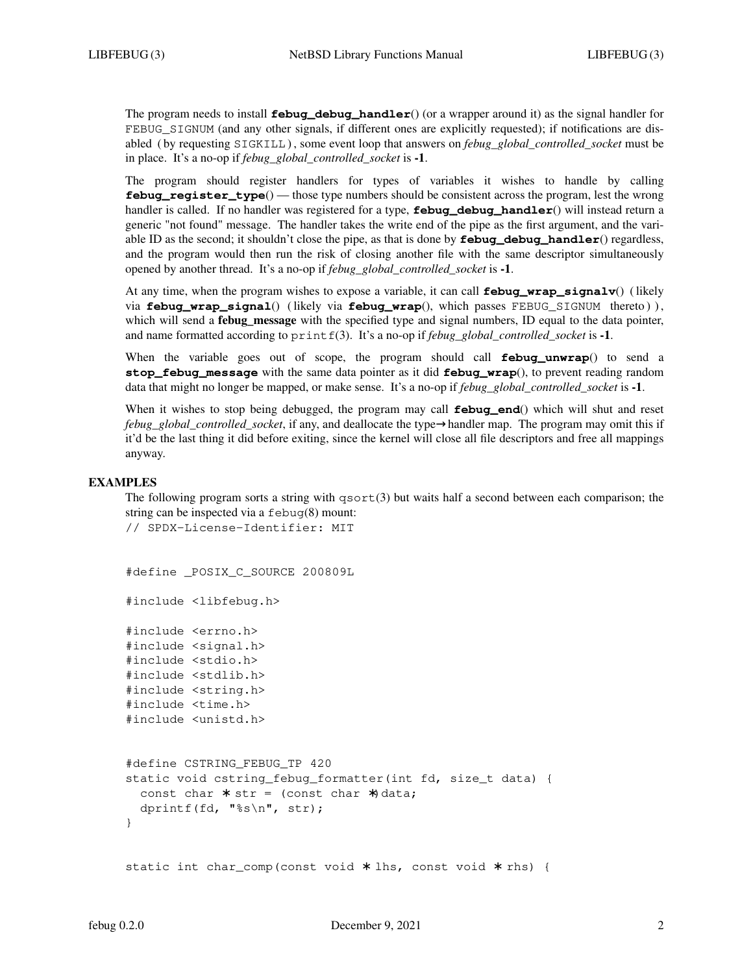The program needs to install **febug\_debug\_handler**() (or a wrapper around it) as the signal handler for FEBUG\_SIGNUM (and any other signals, if different ones are explicitly requested); if notifications are disabled ( by requesting SIGKILL ), some event loop that answers on *febug\_global\_controlled\_socket* must be in place. It'sano-op if *febug\_global\_controlled\_socket* is **-1**.

The program should register handlers for types of variables it wishes to handle by calling **febug\_register\_type**() — those type numbers should be consistent across the program, lest the wrong handler is called. If no handler was registered for a type, **febug\_debug\_handler**() will instead return a generic "not found" message. The handler takes the write end of the pipe as the first argument, and the variable ID as the second; it shouldn't close the pipe, as that is done by **febug\_debug\_handler**() regardless, and the program would then run the risk of closing another file with the same descriptor simultaneously opened by another thread. It'sano-op if *febug\_global\_controlled\_socket* is **-1**.

At any time, when the program wishes to expose a variable, it can call **febug\_wrap\_signalv**() ( likely via **febug\_wrap\_signal**() ( likely via **febug\_wrap**(), which passes FEBUG\_SIGNUM thereto ) ) , which will send a **febug message** with the specified type and signal numbers, ID equal to the data pointer, and name formatted according to print  $f(3)$ . It's a no-op if *febug\_global\_controlled\_socket* is **-1**.

When the variable goes out of scope, the program should call **febug\_unwrap**() to send a **stop\_febug\_message** with the same data pointer as it did **febug\_wrap**(), to prevent reading random data that might no longer be mapped, or make sense. It'sano-op if *febug\_global\_controlled\_socket* is **-1**.

When it wishes to stop being debugged, the program may call **febug\_end**() which will shut and reset *febug\_global\_controlled\_socket*, if any, and deallocate the type→handler map. The program may omit this if it'd be the last thing it did before exiting, since the kernel will close all file descriptors and free all mappings anyway.

### **EXAMPLES**

The following program sorts a string with  $qsort(3)$  but waits half a second between each comparison; the string can be inspected via a febug(8) mount:

```
// SPDX-License-Identifier: MIT
```
#define \_POSIX\_C\_SOURCE 200809L

#include <libfebug.h>

```
#include <errno.h>
#include <signal.h>
#include <stdio.h>
#include <stdlib.h>
#include <string.h>
#include <time.h>
#include <unistd.h>
#define CSTRING_FEBUG_TP 420
static void cstring_febug_formatter(int fd, size_t data) {
 const char * str = (const char *) data;
 dprintf(fd, "%s\n", str);
}
static int char_comp(const void * lhs, const void * rhs) {
```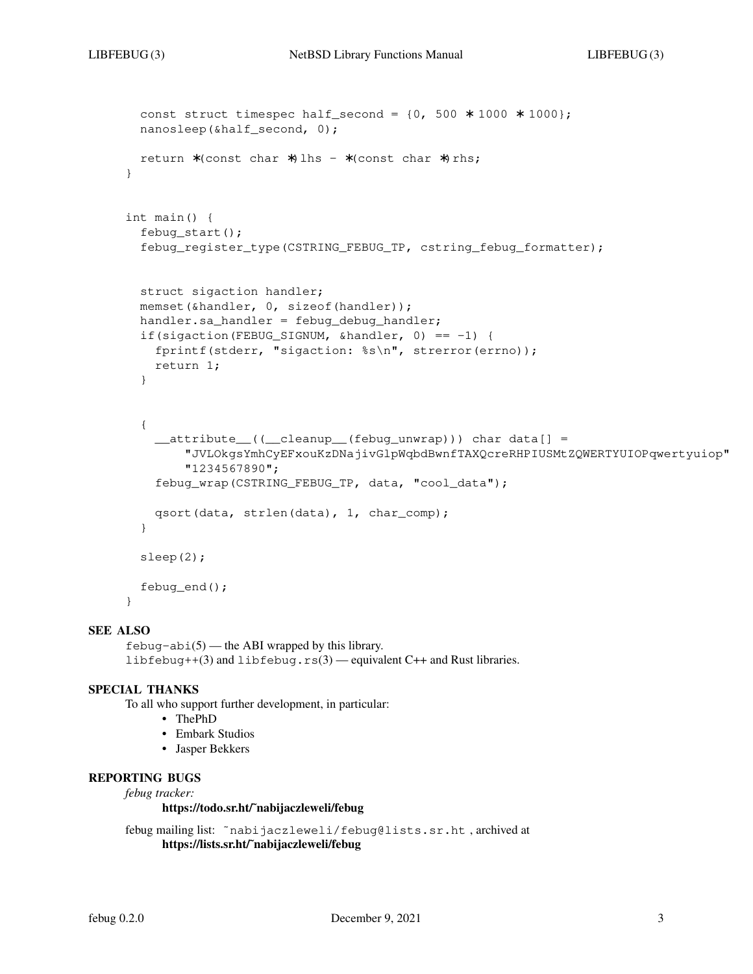```
const struct timespec half_second = \{0, 500 * 1000 * 1000\};
 nanosleep(&half_second, 0);
 return ∗(const char ∗)lhs - ∗(const char ∗)rhs;
}
int main() {
  febug_start();
  febug_register_type(CSTRING_FEBUG_TP, cstring_febug_formatter);
  struct sigaction handler;
 memset(&handler, 0, sizeof(handler));
 handler.sa_handler = febug_debug_handler;
  if(sigaction(FEBUG_SIGNUM, \&handler, 0) == -1) {
   fprintf(stderr, "sigaction: %s\n", strerror(errno));
   return 1;
  }
  {
    __attribute__((__cleanup__(febug_unwrap))) char data[] =
        "JVLOkgsYmhCyEFxouKzDNajivGlpWqbdBwnfTAXQcreRHPIUSMtZQWERTYUIOPqwertyuiop"
        "1234567890";
    febug_wrap(CSTRING_FEBUG_TP, data, "cool_data");
    qsort(data, strlen(data), 1, char_comp);
  }
 sleep(2);
  febug_end();
}
```
 $febuq-abi(5)$  — the ABI wrapped by this library. libfebug++(3) and libfebug.rs(3) — equivalent C++ and Rust libraries.

# **SPECIAL THANKS**

To all who support further development, in particular:

- **•** ThePhD
- **•** Embark Studios
- **•** Jasper Bekkers

# **REPORTING BUGS**

*febug tracker:*

### **https://todo.sr.ht/˜nabijaczleweli/febug**

febug mailing list: 〈˜nabijaczleweli/febug@lists.sr.ht〉, archived at **https://lists.sr.ht/˜nabijaczleweli/febug**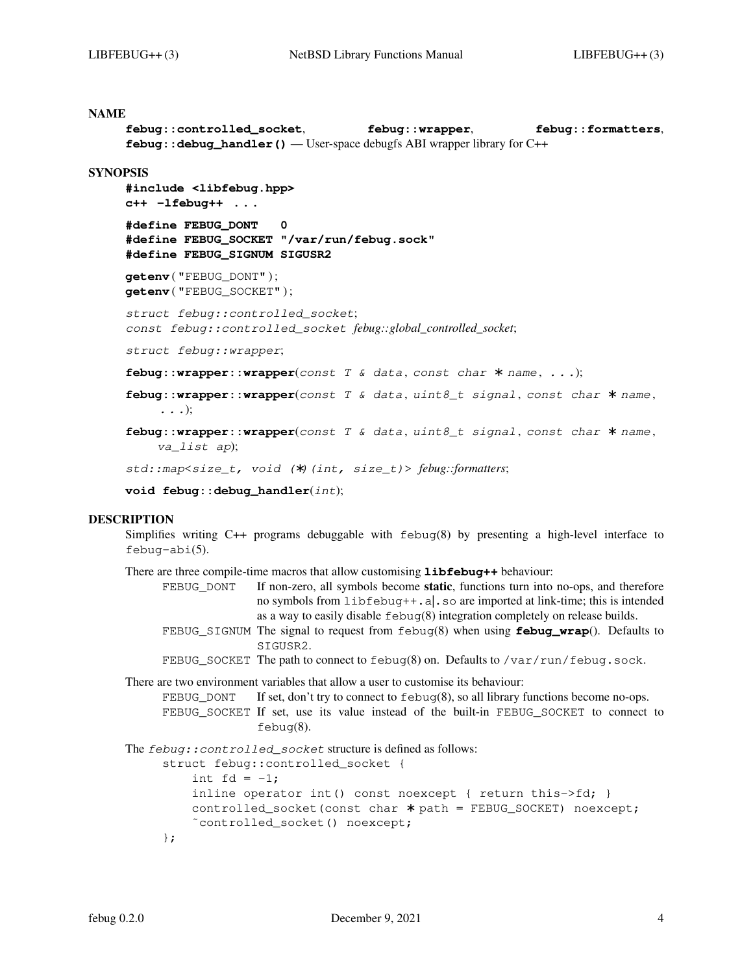#### **NAME**

```
febug::controlled_socket, febug::wrapper, febug::formatters,
febug::debug_handler() — User-space debugfs ABI wrapper library for C++
```
#### **SYNOPSIS**

```
#include <libfebug.hpp>
c++ −lfebug++ ...
#define FEBUG_DONT 0
```

```
#define FEBUG_SOCKET "/var/run/febug.sock"
#define FEBUG_SIGNUM SIGUSR2
```
**getenv** ( "FEBUG\_DONT" ) ; **getenv** ( "FEBUG\_SOCKET" ) ;

*struct febug::controlled\_socket*; *const febug::controlled\_socket febug::global\_controlled\_socket*;

*struct febug::wrapper*;

**febug::wrapper::wrapper**(*const T & data* , *const char* ∗ *name* , *...*);

```
febug::wrapper::wrapper(const T & data , uint8_t signal , const char ∗ name ,
     ...);
```

```
febug::wrapper::wrapper(const T & data , uint8_t signal , const char ∗ name ,
    va_list ap);
```
*std::map<size\_t, void (*∗*)(int, size\_t)> febug::formatters*;

```
void febug::debug_handler(int);
```
### **DESCRIPTION**

Simplifies writing  $C_{++}$  programs debuggable with  $f = b \log(8)$  by presenting a high-level interface to febug-abi(5).

There are three compile-time macros that allow customising **libfebug++** behaviour:

- FEBUG\_DONT If non-zero, all symbols become **static**, functions turn into no-ops, and therefore no symbols from libfebug++.a|.so are imported at link-time; this is intended as a way to easily disable febug(8) integration completely on release builds. FEBUG\_SIGNUM The signal to request from febug(8) when using **febug\_wrap**(). Defaults to
- SIGUSR2.

FEBUG\_SOCKET The path to connect to febug(8) on. Defaults to /var/run/febug.sock.

There are two environment variables that allow a user to customise its behaviour: FEBUG\_DONT If set, don't try to connect to  $febu(g(8))$ , so all library functions become no-ops. FEBUG\_SOCKET If set, use its value instead of the built-in FEBUG\_SOCKET to connect to febug(8).

The *febug::controlled\_socket* structure is defined as follows:

struct febug::controlled\_socket { int  $fd = -1;$ inline operator int() const noexcept { return this->fd; } controlled\_socket(const char ∗ path = FEBUG\_SOCKET) noexcept; ˜controlled\_socket() noexcept; };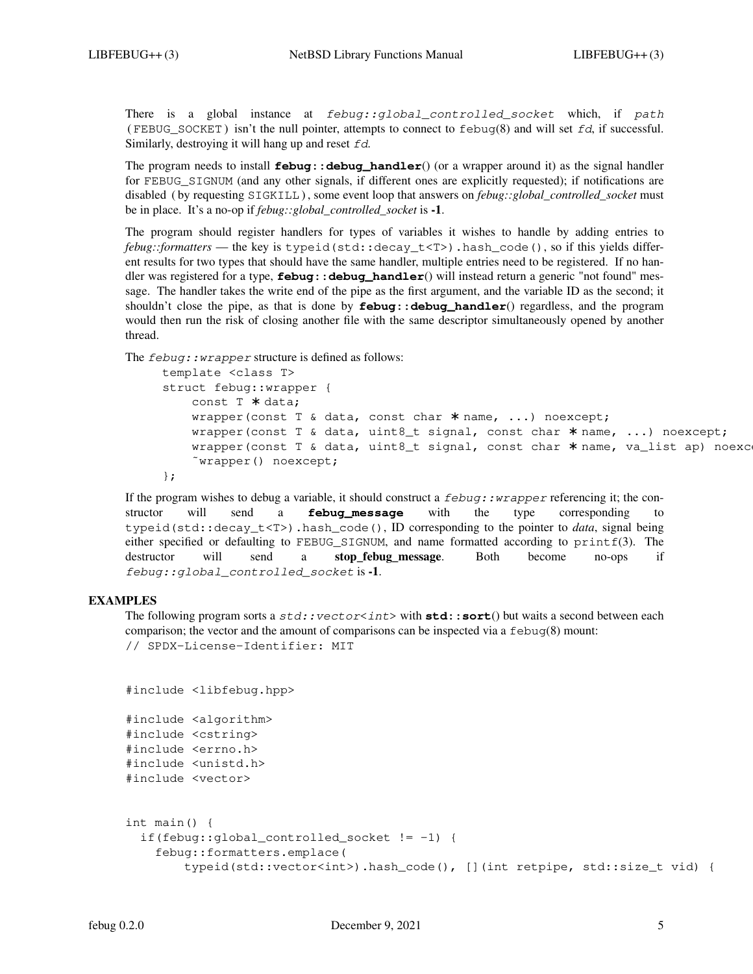There is a global instance at *febug::global\_controlled\_socket* which, if *path* ( FEBUG\_SOCKET ) isn't the null pointer, attempts to connect to febug(8) and will set *fd*, if successful. Similarly, destroying it will hang up and reset *fd*.

The program needs to install **febug::debug\_handler**() (or a wrapper around it) as the signal handler for FEBUG\_SIGNUM (and any other signals, if different ones are explicitly requested); if notifications are disabled ( by requesting SIGKILL ), some event loop that answers on *febug::global\_controlled\_socket* must be in place. It'sano-op if *febug::global\_controlled\_socket* is **-1**.

The program should register handlers for types of variables it wishes to handle by adding entries to *febug::formatters* — the key is typeid(std::decay\_t<T>).hash\_code(), so if this yields different results for two types that should have the same handler, multiple entries need to be registered. If no handler was registered for a type, **febug::debug\_handler**() will instead return a generic "not found" message. The handler takes the write end of the pipe as the first argument, and the variable ID as the second; it shouldn't close the pipe, as that is done by **febug::debug\_handler**() regardless, and the program would then run the risk of closing another file with the same descriptor simultaneously opened by another thread.

The *febug::wrapper* structure is defined as follows:

```
template <class T>
struct febug::wrapper {
    const T ∗ data;
    wrapper(const T & data, const char * name, ...) noexcept;
    wrapper(const T & data, uint8_t signal, const char * name, ...) noexcept;
    wrapper(const T & data, uint8_t signal, const char * name, va_list ap) noexc
    ˜wrapper() noexcept;
};
```
If the program wishes to debug a variable, it should construct a *febug::wrapper* referencing it; the constructor will send a **febug\_message** with the type corresponding to typeid(std::decay\_t<T>).hash\_code(), ID corresponding to the pointer to *data*, signal being either specified or defaulting to FEBUG\_SIGNUM, and name formatted according to printf(3). The destructor will send a **stop\_febug\_message**. Both become no-ops if *febug::global\_controlled\_socket* is **-1**.

## **EXAMPLES**

The following program sorts a *std::vector<int>* with **std::sort**() but waits a second between each comparison; the vector and the amount of comparisons can be inspected via a febug(8) mount: // SPDX-License-Identifier: MIT

```
#include <libfebug.hpp>
```

```
#include <algorithm>
#include <cstring>
#include <errno.h>
#include <unistd.h>
#include <vector>
```

```
int main() {
 if(febug::global_controlled_socket != -1) {
    febug::formatters.emplace(
       typeid(std::vector<int>).hash_code(), [](int retpipe, std::size_t vid) {
```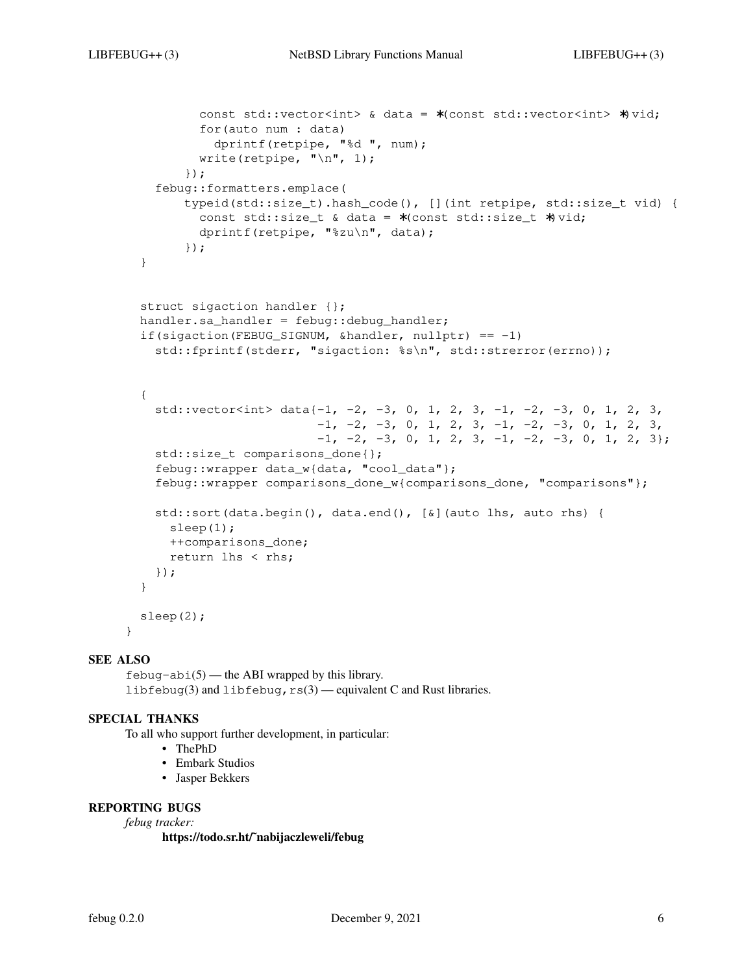```
const std::vector<int> & data = ∗(const std::vector<int> ∗)vid;
        for(auto num : data)
          dprintf(retpipe, "%d ", num);
        write(retpipe, "\n \n \frac{\n \ln}{\n}, 1);
      });
  febug::formatters.emplace(
      typeid(std::size_t).hash_code(), [](int retpipe, std::size_t vid) {
        const std::size_t & data = ∗(const std::size_t ∗)vid;
        dprintf(retpipe, "%zu\n", data);
      });
}
struct sigaction handler {};
handler.sa_handler = febug::debug_handler;
if(sigaction(FEBUG_SIGNUM, \deltahandler, nullptr) == -1)
  std::fprintf(stderr, "sigaction: %s\n", std::strerror(errno));
{
  std::vector<int> data{-1, -2, -3, 0, 1, 2, 3, -1, -2, -3, 0, 1, 2, 3,
                         -1, -2, -3, 0, 1, 2, 3, -1, -2, -3, 0, 1, 2, 3,
                         -1, -2, -3, 0, 1, 2, 3, -1, -2, -3, 0, 1, 2, 3;std::size_t comparisons_done{};
  febug::wrapper data_w{data, "cool_data"};
  febug::wrapper comparisons_done_w{comparisons_done, "comparisons"};
  std::sort(data.begin(), data.end(), [&](auto lhs, auto rhs) {
    sleep(1);
    ++comparisons_done;
    return lhs < rhs;
  });
}
sleep(2);
```
}

 $febu-g-bi(5)$  — the ABI wrapped by this library. libfebug(3) and libfebug,  $rs(3)$  — equivalent C and Rust libraries.

### **SPECIAL THANKS**

To all who support further development, in particular:

- **•** ThePhD
- **•** Embark Studios
- **•** Jasper Bekkers

### **REPORTING BUGS**

*febug tracker:*

**https://todo.sr.ht/˜nabijaczleweli/febug**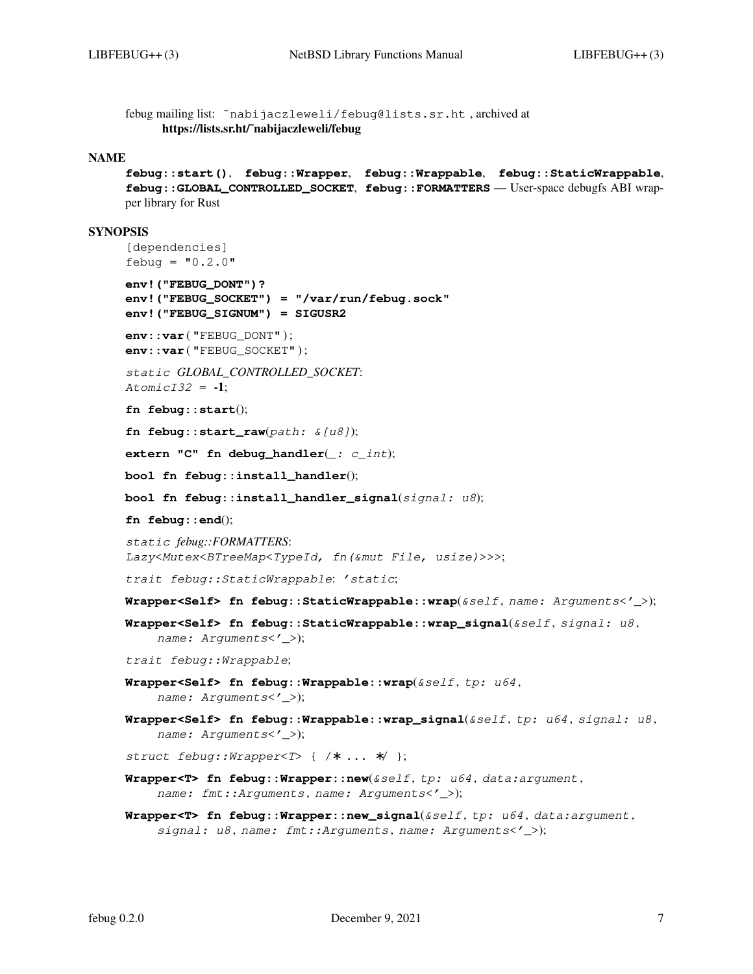```
febug mailing list: 〈˜nabijaczleweli/febug@lists.sr.ht〉, archived at
      https://lists.sr.ht/˜nabijaczleweli/febug
```
#### **NAME**

```
febug::start(), febug::Wrapper, febug::Wrappable, febug::StaticWrappable,
febug::GLOBAL_CONTROLLED_SOCKET, febug::FORMATTERS — User-space debugfs ABI wrap-
per library for Rust
```
### **SYNOPSIS**

```
[dependencies]
febug = "0.2.0"
```

```
env!("FEBUG_DONT")?
env!("FEBUG_SOCKET") = "/var/run/febug.sock"
env!("FEBUG_SIGNUM") = SIGUSR2
```
**env::var** ( "FEBUG\_DONT" ) ; **env::var** ( "FEBUG\_SOCKET" ) ;

*static GLOBAL\_CONTROLLED\_SOCKET*: *AtomicI32* = **-1**;

```
fn febug::start();
```
**fn febug::start\_raw**(*path: &[u8]*);

```
extern "C" fn debug_handler(_: c_int);
```
**bool fn febug::install\_handler**();

```
bool fn febug::install_handler_signal(signal: u8);
```

```
fn febug::end();
```
*static febug::FORMATTERS*: *Lazy<Mutex<BTreeMap<TypeId, fn(&mut File, usize)>>>*;

*trait febug::StaticWrappable*: *'static*;

```
Wrapper<Self> fn febug::StaticWrappable::wrap(&self , name: Arguments<'_>);
```
**Wrapper<Self> fn febug::StaticWrappable::wrap\_signal**(*&self* , *signal: u8* , *name: Arguments<'\_>*);

*trait febug::Wrappable*;

- **Wrapper<Self> fn febug::Wrappable::wrap**(*&self* , *tp: u64* , *name: Arguments<'\_>*);
- **Wrapper<Self> fn febug::Wrappable::wrap\_signal**(*&self* , *tp: u64* , *signal: u8* , *name: Arguments<'\_>*);

*struct febug::Wrapper<T>* { /∗ ... ∗/ };

- **Wrapper<T> fn febug::Wrapper::new**(*&self* , *tp: u64* , *data:argument* , *name: fmt::Arguments* , *name: Arguments<'\_>*);
- **Wrapper<T> fn febug::Wrapper::new\_signal**(*&self* , *tp: u64* , *data:argument* , *signal: u8* , *name: fmt::Arguments* , *name: Arguments<'\_>*);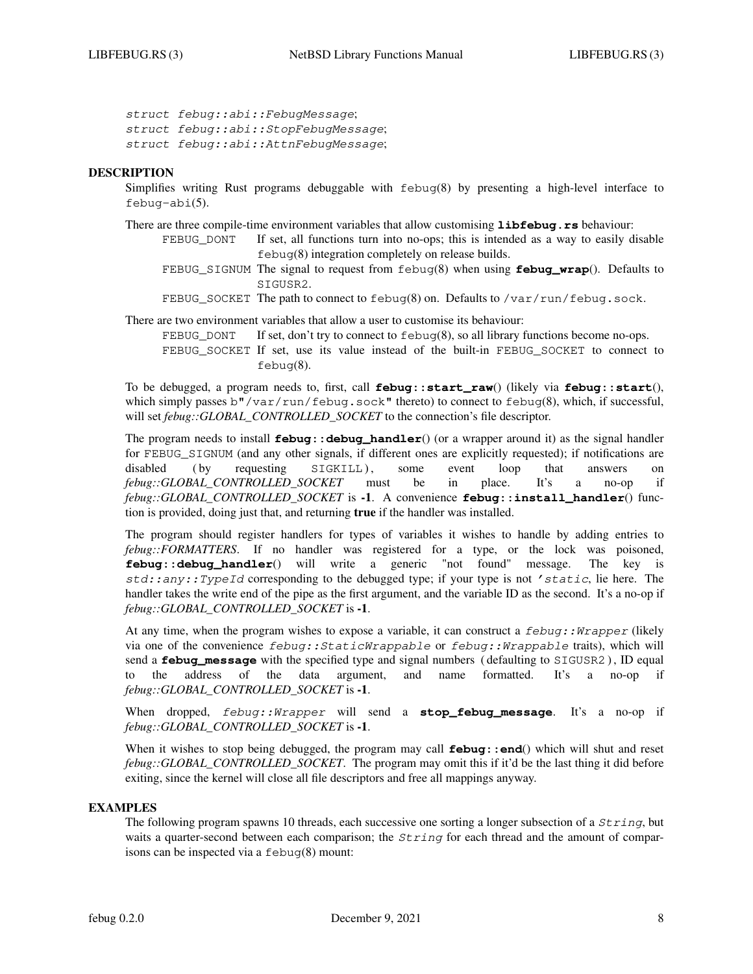*struct febug::abi::FebugMessage*; *struct febug::abi::StopFebugMessage*; *struct febug::abi::AttnFebugMessage*;

### **DESCRIPTION**

Simplifies writing Rust programs debuggable with febug(8) by presenting a high-level interface to febug-abi(5).

There are three compile-time environment variables that allow customising **libfebug.rs** behaviour:

- FEBUG DONT If set, all functions turn into no-ops; this is intended as a way to easily disable febug(8) integration completely on release builds.
- FEBUG\_SIGNUM The signal to request from febug(8) when using **febug\_wrap**(). Defaults to SIGUSR2.
- FEBUG\_SOCKET The path to connect to  $febuq(8)$  on. Defaults to /var/run/febug.sock.

There are two environment variables that allow a user to customise its behaviour:

FEBUG\_DONT If set, don't try to connect to  $febu(g(8))$ , so all library functions become no-ops. FEBUG\_SOCKET If set, use its value instead of the built-in FEBUG\_SOCKET to connect to febug(8).

To be debugged, a program needs to, first, call **febug::start\_raw**() (likely via **febug::start**(), which simply passes b"/var/run/febug.sock" thereto) to connect to febug(8), which, if successful, will set *febug::GLOBAL\_CONTROLLED\_SOCKET* to the connection's file descriptor.

The program needs to install **febug::debug\_handler**() (or a wrapper around it) as the signal handler for FEBUG\_SIGNUM (and any other signals, if different ones are explicitly requested); if notifications are disabled ( by requesting SIGKILL ), some event loop that answers on *febug::GLOBAL\_CONTROLLED\_SOCKET* must be in place. It's a no-op if *febug::GLOBAL\_CONTROLLED\_SOCKET* is **-1**. A convenience **febug::install\_handler**() function is provided, doing just that, and returning **true** if the handler was installed.

The program should register handlers for types of variables it wishes to handle by adding entries to *febug::FORMATTERS*. If no handler was registered for a type, or the lock was poisoned, **febug::debug\_handler**() will write a generic "not found" message. The key is *std::any::TypeId* corresponding to the debugged type; if your type is not *'static*, lie here. The handler takes the write end of the pipe as the first argument, and the variable ID as the second. It's a no-op if *febug::GLOBAL\_CONTROLLED\_SOCKET* is **-1**.

At any time, when the program wishes to expose a variable, it can construct a *febug::Wrapper* (likely via one of the convenience *febug::StaticWrappable* or *febug::Wrappable* traits), which will send a **febug\_message** with the specified type and signal numbers ( defaulting to SIGUSR2 ), ID equal to the address of the data argument, and name formatted. It's a no-op if *febug::GLOBAL\_CONTROLLED\_SOCKET* is **-1**.

When dropped, *febug::Wrapper* will send a **stop\_febug\_message**. It's a no-op if *febug::GLOBAL\_CONTROLLED\_SOCKET* is **-1**.

When it wishes to stop being debugged, the program may call **febug::end**() which will shut and reset *febug::GLOBAL\_CONTROLLED\_SOCKET*. The program may omit this if it'd be the last thing it did before exiting, since the kernel will close all file descriptors and free all mappings anyway.

### **EXAMPLES**

The following program spawns 10 threads, each successive one sorting a longer subsection of a *String*, but waits a quarter-second between each comparison; the *String* for each thread and the amount of comparisons can be inspected via a febug(8) mount: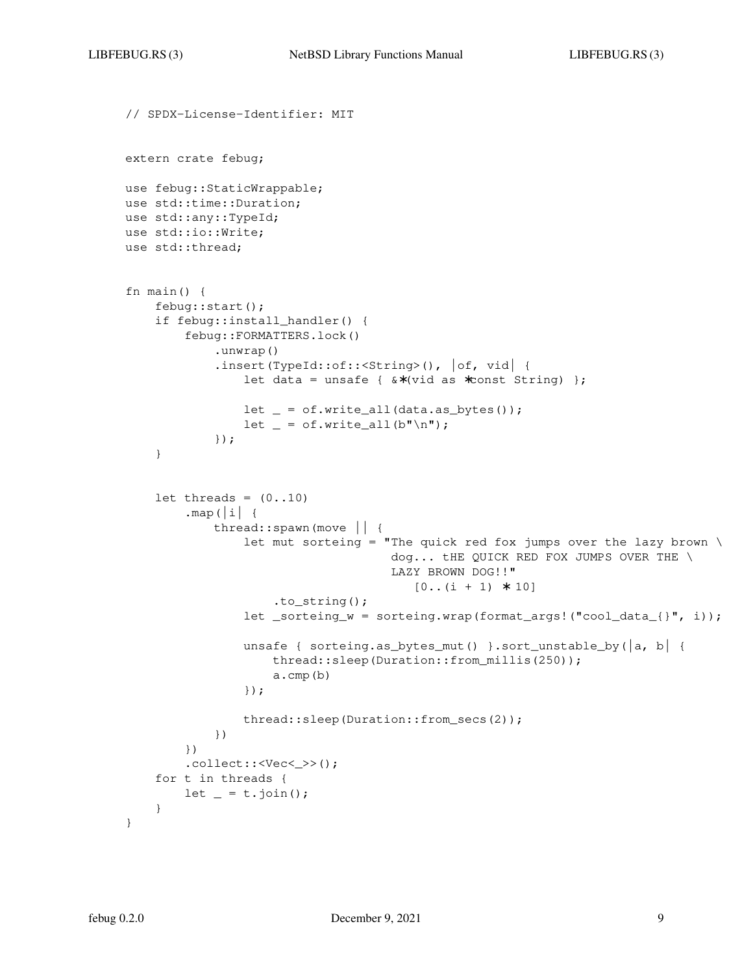```
// SPDX-License-Identifier: MIT
extern crate febug;
use febug::StaticWrappable;
use std::time::Duration;
use std::any::TypeId;
use std::io::Write;
use std::thread;
fn main() {
    febug::start();
    if febug::install_handler() {
        febug::FORMATTERS.lock()
            .unwrap()
            .insert(TypeId::of::<String>(), |of, vid| {
                let data = unsafe { &∗(vid as ∗const String) };
                let = of.write_all(data.as_bytes());
                let = of.write_all(b"\n");
            });
    }
    let threads = (0..10).map(|i| {
            thread::spawn(move || {
                let mut sorteing = "The quick red fox jumps over the lazy brown \setminusdog... tHE QUICK RED FOX JUMPS OVER THE \
                                     LAZY BROWN DOG!!"
                                        [0 \ldots (i + 1) * 10].to_string();
                let _sorteing_w = sorteing.wrap(format_args!("cool_data_{}", i));
                unsafe { sorteing.as_bytes_mut() }.sort_unstable_by(|a, b| {
                    thread::sleep(Duration::from_millis(250));
                    a.cmp(b)
                });
                thread::sleep(Duration::from_secs(2));
            })
        })
        .collect::<Vec<_>>();
    for t in threads {
        let = t.join();
    }
}
```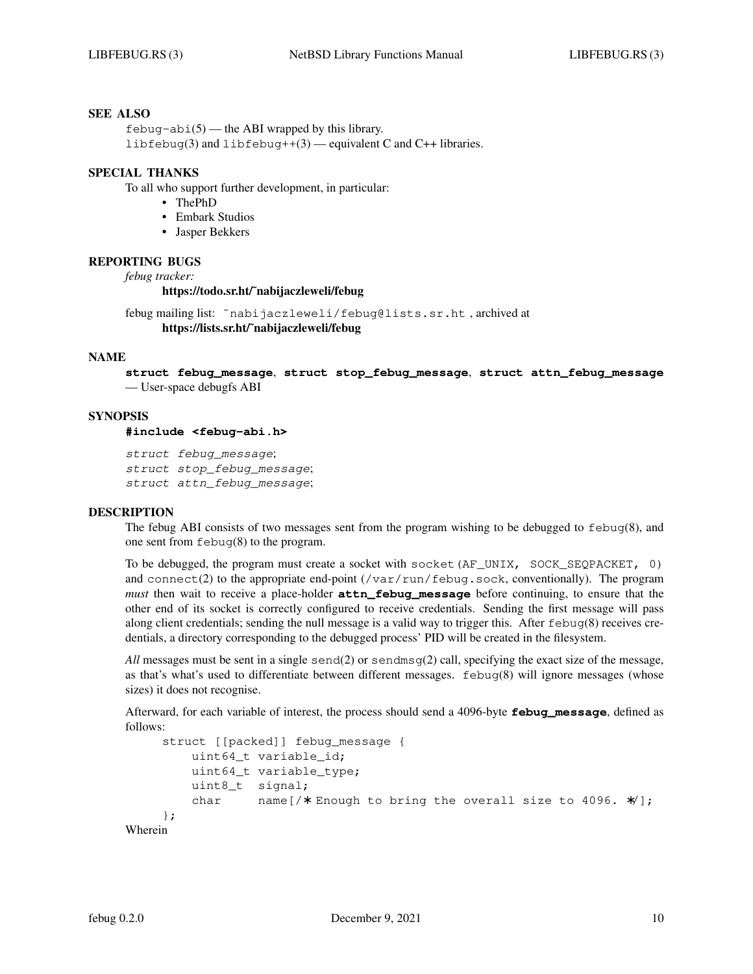$febu-g-bi(5)$  — the ABI wrapped by this library. libfebug(3) and libfebug++(3) — equivalent C and C++ libraries.

### **SPECIAL THANKS**

To all who support further development, in particular:

- **•** ThePhD
- **•** Embark Studios
- **•** Jasper Bekkers

### **REPORTING BUGS**

*febug tracker:*

### **https://todo.sr.ht/˜nabijaczleweli/febug**

febug mailing list: 〈˜nabijaczleweli/febug@lists.sr.ht〉, archived at **https://lists.sr.ht/˜nabijaczleweli/febug**

#### **NAME**

**struct febug\_message**, **struct stop\_febug\_message**, **struct attn\_febug\_message** — User-space debugfs ABI

### **SYNOPSIS**

### **#include <febug-abi.h>**

*struct febug\_message*; *struct stop\_febug\_message*; *struct attn\_febug\_message*;

### **DESCRIPTION**

The febug ABI consists of two messages sent from the program wishing to be debugged to febug(8), and one sent from febug(8) to the program.

To be debugged, the program must create a socket with socket (AF\_UNIX, SOCK\_SEQPACKET, 0) and connect(2) to the appropriate end-point (/var/run/febug.sock, conventionally). The program *must* then wait to receive a place-holder **attn\_febug\_message** before continuing, to ensure that the other end of its socket is correctly configured to receive credentials. Sending the first message will pass along client credentials; sending the null message is a valid way to trigger this. After febug(8) receives credentials, a directory corresponding to the debugged process' PID will be created in the filesystem.

*All* messages must be sent in a single send(2) or sendmsg(2) call, specifying the exact size of the message, as that's what's used to differentiate between different messages. febug(8) will ignore messages (whose sizes) it does not recognise.

Afterward, for each variable of interest, the process should send a 4096-byte **febug\_message**, defined as follows:

```
struct [[packed]] febug_message {
         uint64_t variable_id;
         uint64_t variable_type;
         uint8_t signal;
         char name[/∗ Enough to bring the overall size to 4096. ∗/];
    };
Wherein
```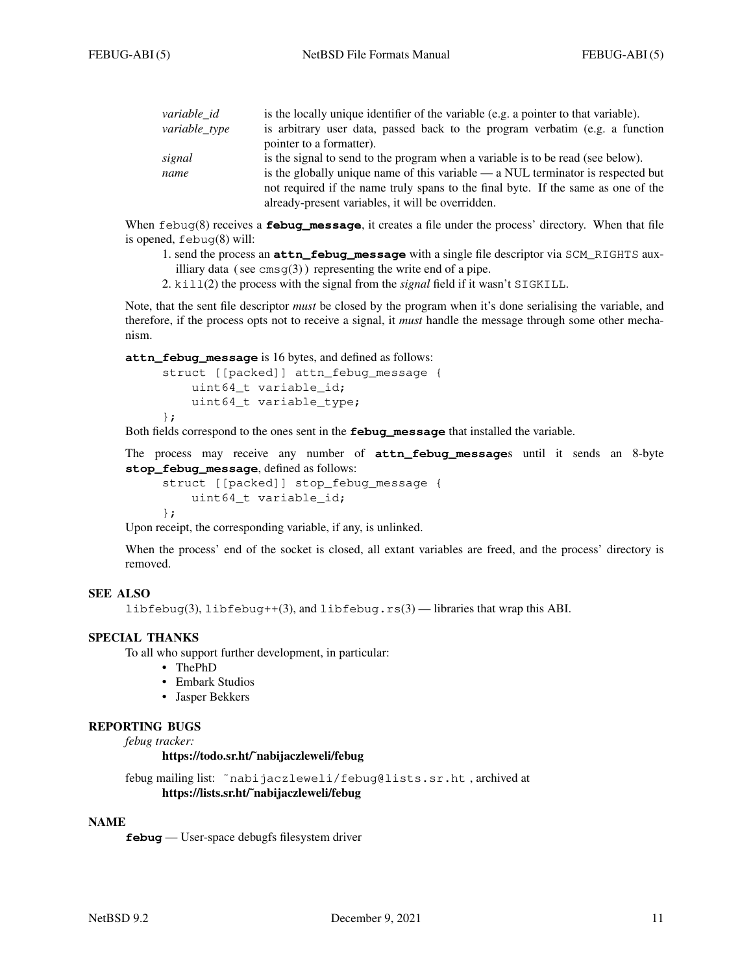| variable id   | is the locally unique identifier of the variable (e.g. a pointer to that variable).           |
|---------------|-----------------------------------------------------------------------------------------------|
| variable_type | is arbitrary user data, passed back to the program verbatim (e.g. a function                  |
|               | pointer to a formatter).                                                                      |
| signal        | is the signal to send to the program when a variable is to be read (see below).               |
| name          | is the globally unique name of this variable $\frac{d}{dx}$ a NUL terminator is respected but |
|               | not required if the name truly spans to the final byte. If the same as one of the             |
|               | already-present variables, it will be overridden.                                             |

When febug(8) receives a **febug\_message**, it creates a file under the process' directory. When that file is opened, febug(8) will:

- 1. send the process an **attn\_febug\_message** with a single file descriptor via SCM\_RIGHTS auxilliary data (see  $\text{cmsg}(3)$ ) representing the write end of a pipe.
- 2. kill(2) the process with the signal from the *signal* field if it wasn't SIGKILL.

Note, that the sent file descriptor *must* be closed by the program when it's done serialising the variable, and therefore, if the process opts not to receive a signal, it *must* handle the message through some other mechanism.

**attn\_febug\_message** is 16 bytes, and defined as follows:

```
struct [[packed]] attn_febug_message {
    uint64_t variable_id;
    uint64_t variable_type;
};
```
Both fields correspond to the ones sent in the **febug\_message** that installed the variable.

The process may receive any number of **attn\_febug\_message**s until it sends an 8-byte **stop\_febug\_message**, defined as follows:

```
struct [[packed]] stop_febug_message {
    uint64_t variable_id;
};
```
Upon receipt, the corresponding variable, if any, is unlinked.

When the process' end of the socket is closed, all extant variables are freed, and the process' directory is removed.

## **SEE ALSO**

libfebug(3), libfebug++(3), and libfebug.rs(3) — libraries that wrap this ABI.

### **SPECIAL THANKS**

To all who support further development, in particular:

- **•** ThePhD
- **•** Embark Studios
- **•** Jasper Bekkers

### **REPORTING BUGS**

*febug tracker:*

### **https://todo.sr.ht/˜nabijaczleweli/febug**

febug mailing list: 〈˜nabijaczleweli/febug@lists.sr.ht〉, archived at **https://lists.sr.ht/˜nabijaczleweli/febug**

#### **NAME**

**febug** — User-space debugfs filesystem driver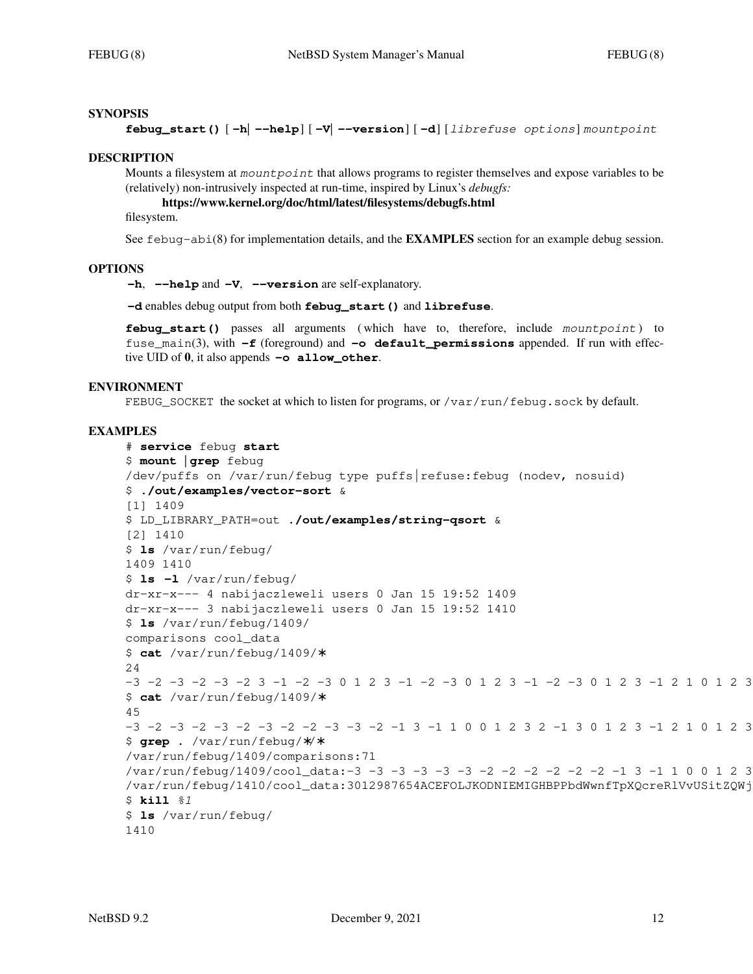### **SYNOPSIS**

```
febug_start() [ −h| −-help] [ −V| −-version] [ −d] [librefuse options] mountpoint
```
### **DESCRIPTION**

Mounts a filesystem at *mountpoint* that allows programs to register themselves and expose variables to be (relatively) non-intrusively inspected at run-time, inspired by Linux's *debugfs:*

**https://www.kernel.org/doc/html/latest/filesystems/debugfs.html**

filesystem.

See febug-abi(8) for implementation details, and the **EXAMPLES** section for an example debug session.

### **OPTIONS**

**−h**, **−-help** and **−V**, **−-version** are self-explanatory.

**−d** enables debug output from both **febug\_start()** and **librefuse**.

**febug\_start()** passes all arguments ( which have to, therefore, include *mountpoint* ) to fuse\_main(3), with **−f** (foreground) and **−o default\_permissions** appended. If run with effective UID of **0**, it also appends **−o allow\_other**.

#### **ENVIRONMENT**

FEBUG\_SOCKET the socket at which to listen for programs, or /var/run/febug.sock by default.

### **EXAMPLES**

```
# service febug start
$ mount | grep febug
/dev/puffs on /var/run/febug type puffs|refuse:febug (nodev, nosuid)
$ ./out/examples/vector-sort &
[1] 1409
$ LD_LIBRARY_PATH=out ./out/examples/string-qsort &
[2] 1410
$ ls /var/run/febug/
1409 1410
$ ls −l /var/run/febug/
dr-xr-x--- 4 nabijaczleweli users 0 Jan 15 19:52 1409
dr-xr-x--- 3 nabijaczleweli users 0 Jan 15 19:52 1410
$ ls /var/run/febug/1409/
comparisons cool_data
$ cat /var/run/febug/1409/∗
24-3 -2 -3 -2 -3 -2 3 -1 -2 -3 0 1 2 3 -1 -2 -3 0 1 2 3 -1 -2 -3 0 1 2 3 -1 2 1 0 1 2 3
$ cat /var/run/febug/1409/∗
45
-3 -2 -3 -2 -3 -2 -3 -2 -2 -3 -3 -2 -1 3 -1 1 0 0 1 2 3 2 -1 3 0 1 2 3 -1 2 1 0 1 2 3
$ grep . /var/run/febug/∗/∗
/var/run/febug/1409/comparisons:71
/var/run/febug/1409/cool_data:-3 -3 -3 -3 -3 -3 -2 -2 -2 -2 -2 -1 3 -1 1 0 0 1 2 3
/var/run/febug/1410/cool_data:3012987654ACEFOLJKODNIEMIGHBPPbdWwnfTpXQcreRlVvUSitZQWj
$ kill %1
$ ls /var/run/febug/
1410
```